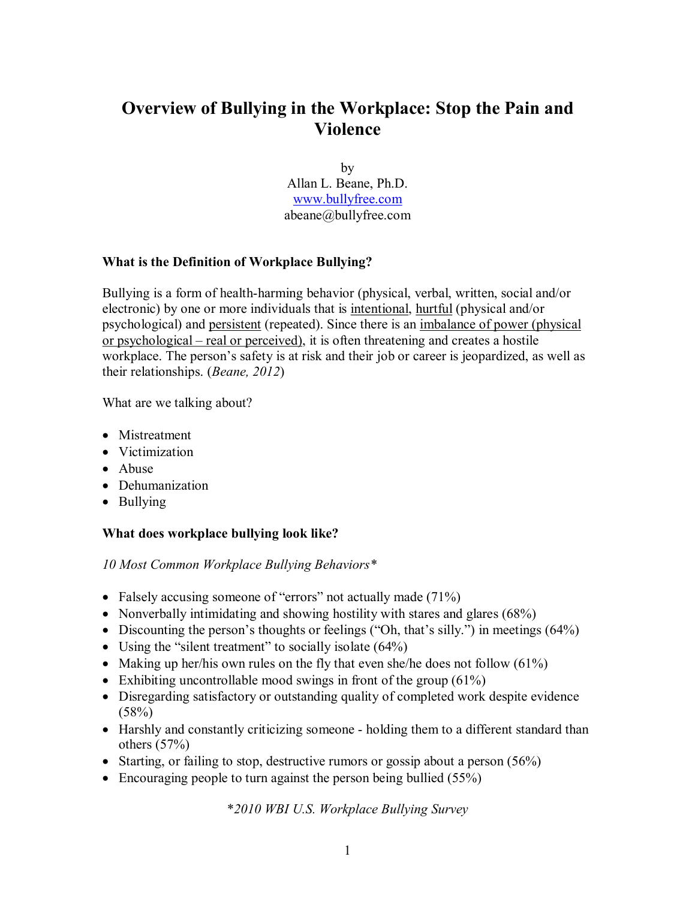# **Overview of Bullying in the Workplace: Stop the Pain and Violence**

by Allan L. Beane, Ph.D. [www.bullyfree.com](http://www.bullyfree.com/) abeane@bullyfree.com

# **What is the Definition of Workplace Bullying?**

Bullying is a form of health-harming behavior (physical, verbal, written, social and/or electronic) by one or more individuals that is intentional, hurtful (physical and/or psychological) and persistent (repeated). Since there is an imbalance of power (physical or psychological – real or perceived), it is often threatening and creates a hostile workplace. The person's safety is at risk and their job or career is jeopardized, as well as their relationships. (*Beane, 2012*)

What are we talking about?

- Mistreatment
- Victimization
- Abuse
- Dehumanization
- Bullying

# **What does workplace bullying look like?**

# *10 Most Common Workplace Bullying Behaviors\**

- Falsely accusing someone of "errors" not actually made (71%)
- Nonverbally intimidating and showing hostility with stares and glares (68%)
- Discounting the person's thoughts or feelings ("Oh, that's silly.") in meetings (64%)
- Using the "silent treatment" to socially isolate (64%)
- Making up her/his own rules on the fly that even she/he does not follow  $(61\%)$
- Exhibiting uncontrollable mood swings in front of the group  $(61\%)$
- Disregarding satisfactory or outstanding quality of completed work despite evidence  $(58%)$
- Harshly and constantly criticizing someone holding them to a different standard than others (57%)
- Starting, or failing to stop, destructive rumors or gossip about a person (56%)
- Encouraging people to turn against the person being bullied  $(55\%)$

\**2010 WBI U.S. Workplace Bullying Survey*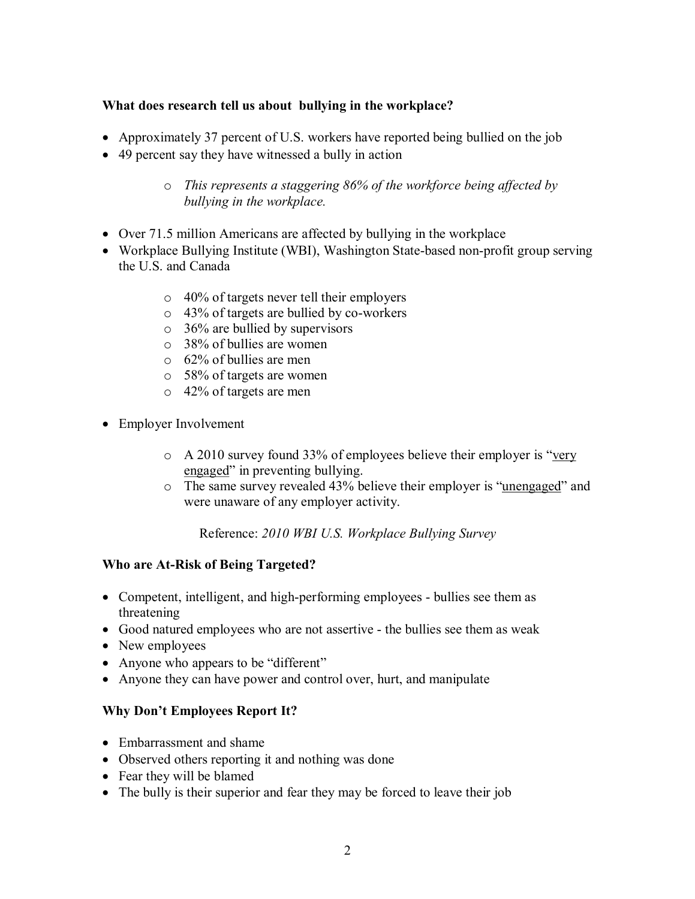# **What does research tell us about bullying in the workplace?**

- · Approximately 37 percent of U.S. workers have reported being bullied on the job
- · 49 percent say they have witnessed a bully in action
	- o *This represents a staggering 86% of the workforce being affected by bullying in the workplace.*
- Over 71.5 million Americans are affected by bullying in the workplace
- Workplace Bullying Institute (WBI), Washington State-based non-profit group serving the U.S. and Canada
	- o 40% of targets never tell their employers
	- $\circ$  43% of targets are bullied by co-workers
	- o 36% are bullied by supervisors
	- o 38% of bullies are women
	- o 62% of bullies are men
	- o 58% of targets are women
	- o 42% of targets are men
- Employer Involvement
	- o A 2010 survey found 33% of employees believe their employer is "very engaged" in preventing bullying.
	- o The same survey revealed 43% believe their employer is "unengaged" and were unaware of any employer activity.

Reference: *2010 WBI U.S. Workplace Bullying Survey*

# **Who are At-Risk of Being Targeted?**

- Competent, intelligent, and high-performing employees bullies see them as threatening
- Good natured employees who are not assertive the bullies see them as weak
- New employees
- · Anyone who appears to be "different"
- Anyone they can have power and control over, hurt, and manipulate

# **Why Don't Employees Report It?**

- Embarrassment and shame
- Observed others reporting it and nothing was done
- Fear they will be blamed
- The bully is their superior and fear they may be forced to leave their job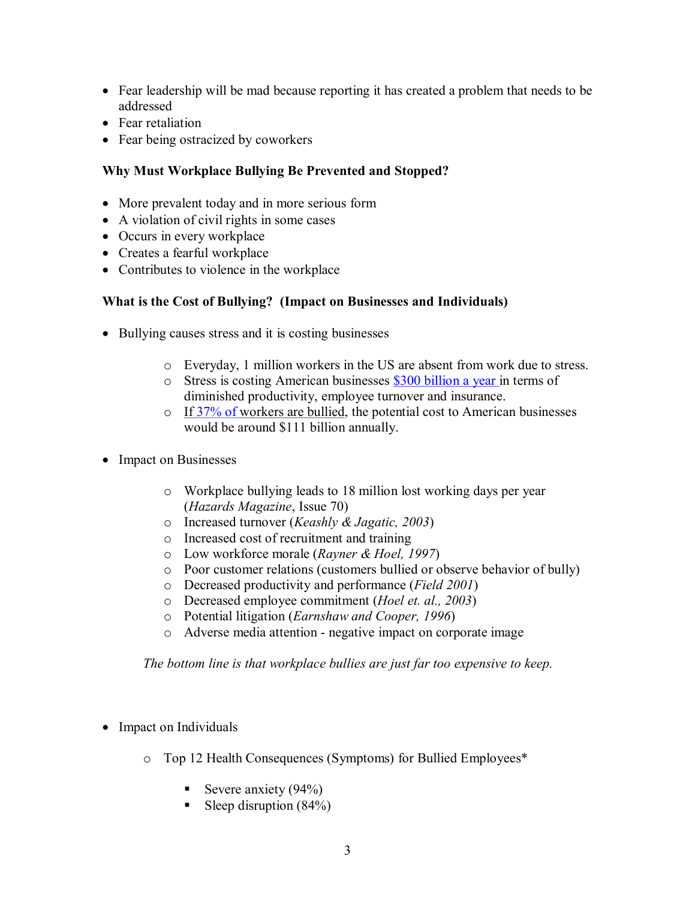- Fear leadership will be mad because reporting it has created a problem that needs to be addressed
- Fear retaliation
- Fear being ostracized by coworkers

### **Why Must Workplace Bullying Be Prevented and Stopped?**

- · More prevalent today and in more serious form
- A violation of civil rights in some cases
- Occurs in every workplace
- · Creates a fearful workplace
- Contributes to violence in the workplace

#### **What is the Cost of Bullying? (Impact on Businesses and Individuals)**

- · Bullying causes stress and it is costing businesses
	- o Everyday, 1 million workers in the US are absent from work due to stress.
	- o Stress is costing American businesses [\\$300 billion](http://www.tuc.org.uk/h_and_s/tuc-6968-f0.cfm) a year in terms of diminished productivity, employee turnover and insurance.
	- $\circ$  If [37%](http://workplacebullying.org/press/2008tcl4.html) of workers are bullied, the potential cost to American businesses would be around \$111 billion annually.
- Impact on Businesses
	- o Workplace bullying leads to 18 million lost working days per year (*Hazards Magazine*, Issue 70)
	- o Increased turnover (*Keashly & Jagatic, 2003*)
	- o Increased cost of recruitment and training
	- o Low workforce morale (*Rayner & Hoel, 1997*)
	- o Poor customer relations (customers bullied or observe behavior of bully)
	- o Decreased productivity and performance (*Field 2001*)
	- o Decreased employee commitment (*Hoel et. al., 2003*)
	- o Potential litigation (*Earnshaw and Cooper, 1996*)
	- o Adverse media attention negative impact on corporate image

*The bottom line is that workplace bullies are just far too expensive to keep.*

- Impact on Individuals
	- o Top 12 Health Consequences (Symptoms) for Bullied Employees\*
		- Severe anxiety (94%)
		- ß Sleep disruption (84%)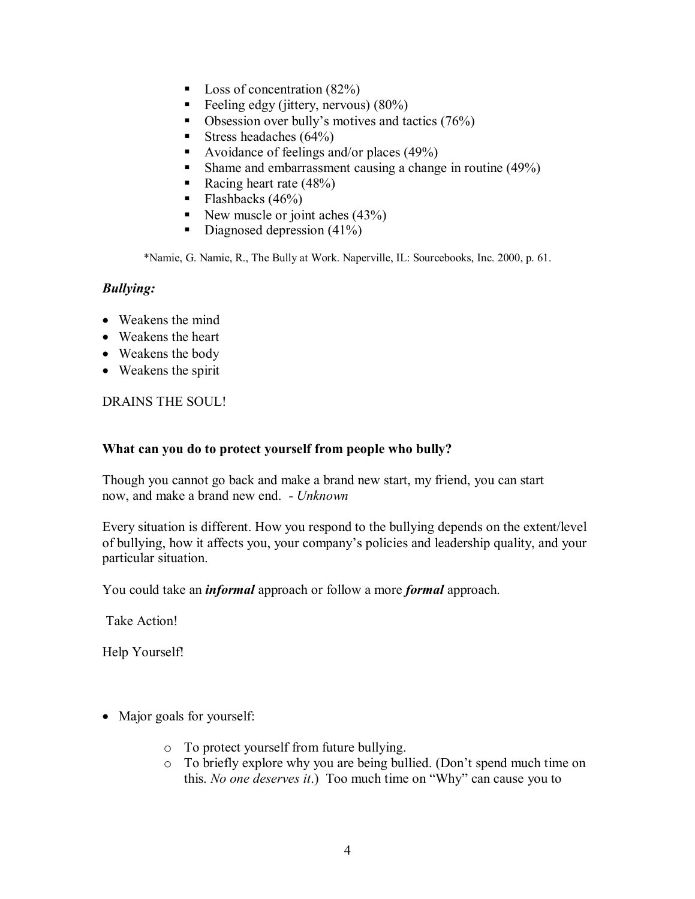- Loss of concentration  $(82%)$
- Feeling edgy (jittery, nervous)  $(80\%)$
- Obsession over bully's motives and tactics (76%)
- Stress headaches  $(64\%)$
- Avoidance of feelings and/or places  $(49\%)$
- Shame and embarrassment causing a change in routine  $(49\%)$
- Racing heart rate  $(48%)$
- Flashbacks  $(46\%)$
- New muscle or joint aches  $(43%)$
- Diagnosed depression  $(41\%)$

\*Namie, G. Namie, R., The Bully at Work. Naperville, IL: Sourcebooks, Inc. 2000, p. 61.

### *Bullying:*

- Weakens the mind
- · Weakens the heart
- Weakens the body
- · Weakens the spirit

### DRAINS THE SOUL!

#### **What can you do to protect yourself from people who bully?**

Though you cannot go back and make a brand new start, my friend, you can start now, and make a brand new end. *Unknown*

Every situation is different. How you respond to the bullying depends on the extent/level of bullying, how it affects you, your company's policies and leadership quality, and your particular situation.

You could take an *informal* approach or follow a more *formal* approach.

Take Action!

Help Yourself!

- Major goals for yourself:
	- o To protect yourself from future bullying.
	- o To briefly explore why you are being bullied. (Don't spend much time on this. *No one deserves it*.) Too much time on "Why" can cause you to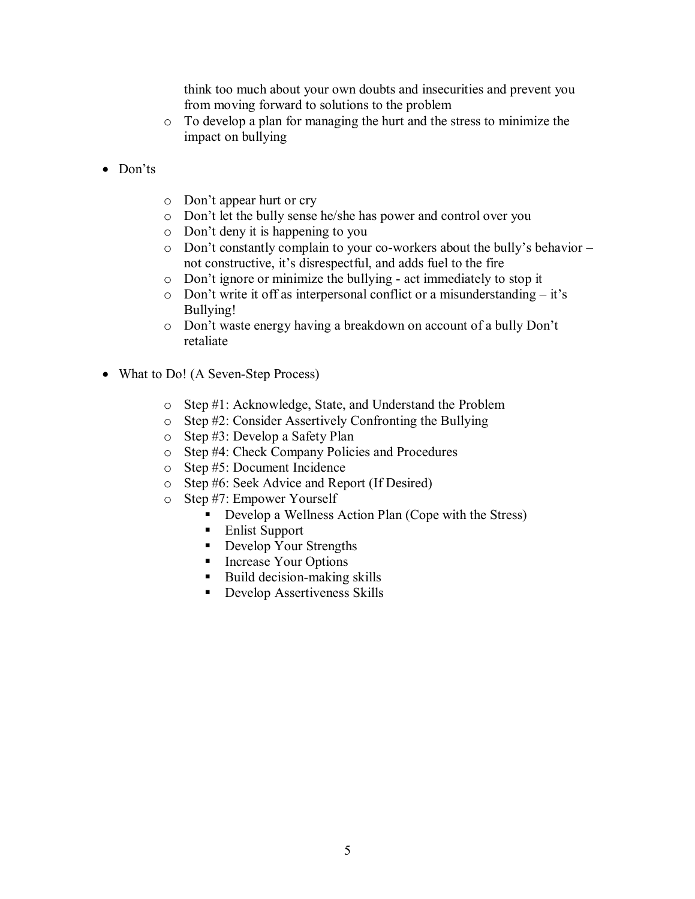think too much about your own doubts and insecurities and prevent you from moving forward to solutions to the problem

- o To develop a plan for managing the hurt and the stress to minimize the impact on bullying
- · Don'ts
- o Don't appear hurt or cry
- o Don't let the bully sense he/she has power and control over you
- $\circ$  Don't deny it is happening to you
- $\circ$  Don't constantly complain to your co-workers about the bully's behavior not constructive, it's disrespectful, and adds fuel to the fire
- $\circ$  Don't ignore or minimize the bullying act immediately to stop it
- o Don't write it off as interpersonal conflict or a misunderstanding it's Bullying!
- o Don't waste energy having a breakdown on account of a bully Don't retaliate
- What to Do! (A Seven-Step Process)
	- o Step #1: Acknowledge, State, and Understand the Problem
	- o Step #2: Consider Assertively Confronting the Bullying
	- o Step #3: Develop a Safety Plan
	- o Step #4: Check Company Policies and Procedures
	- o Step #5: Document Incidence
	- o Step #6: Seek Advice and Report (If Desired)
	- o Step #7: Empower Yourself
		- $\blacksquare$  Develop a Wellness Action Plan (Cope with the Stress)
		- Enlist Support
		- Develop Your Strengths
		- **Increase Your Options**
		- $\blacksquare$  Build decision-making skills
		- **•** Develop Assertiveness Skills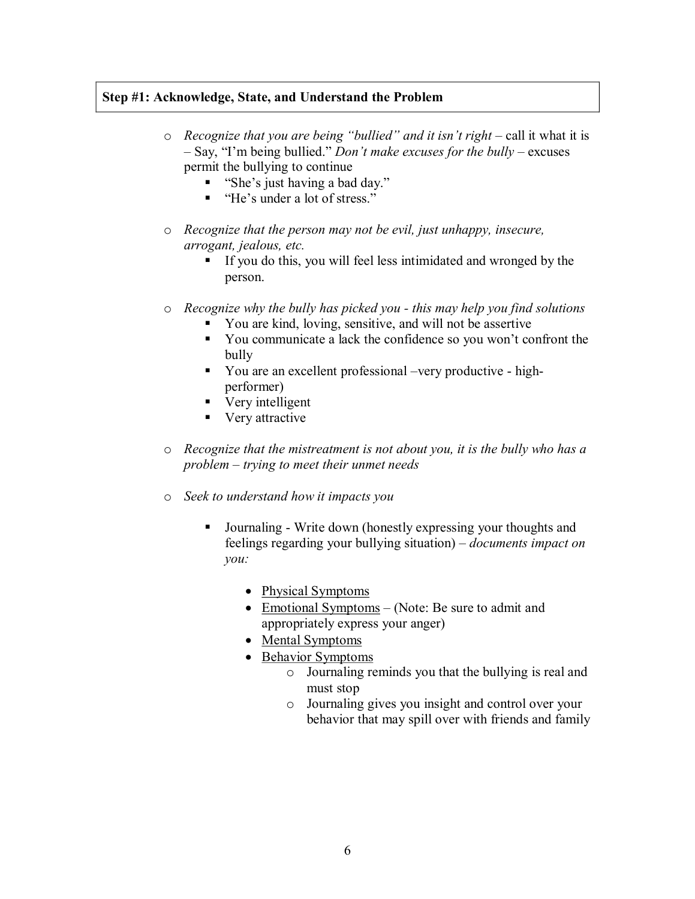# **Step #1: Acknowledge, State, and Understand the Problem**

- o *Recognize that you are being "bullied" and it isn't right* call it what it is – Say, "I'm being bullied." *Don't make excuses for the bully* – excuses permit the bullying to continue
	- "She's just having a bad day."
	- "He's under a lot of stress."
- o *Recognize that the person may not be evil, just unhappy, insecure, arrogant, jealous, etc.*
	- If you do this, you will feel less intimidated and wronged by the person.
- o *Recognize why the bully has picked you this may help you find solutions* 
	- ß You are kind, loving, sensitive, and will not be assertive
	- ß You communicate a lack the confidence so you won't confront the bully
	- You are an excellent professional –very productive highperformer)
	- $\blacksquare$  Very intelligent
	- $\blacksquare$  Very attractive
- o *Recognize that the mistreatment is not about you, it is the bully who has a problem – trying to meet their unmet needs*
- o *Seek to understand how it impacts you* 
	- Journaling Write down (honestly expressing your thoughts and feelings regarding your bullying situation) – *documents impact on you:*
		- Physical Symptoms
		- Emotional Symptoms (Note: Be sure to admit and appropriately express your anger)
		- Mental Symptoms
		- Behavior Symptoms
			- o Journaling reminds you that the bullying is real and must stop
			- o Journaling gives you insight and control over your behavior that may spill over with friends and family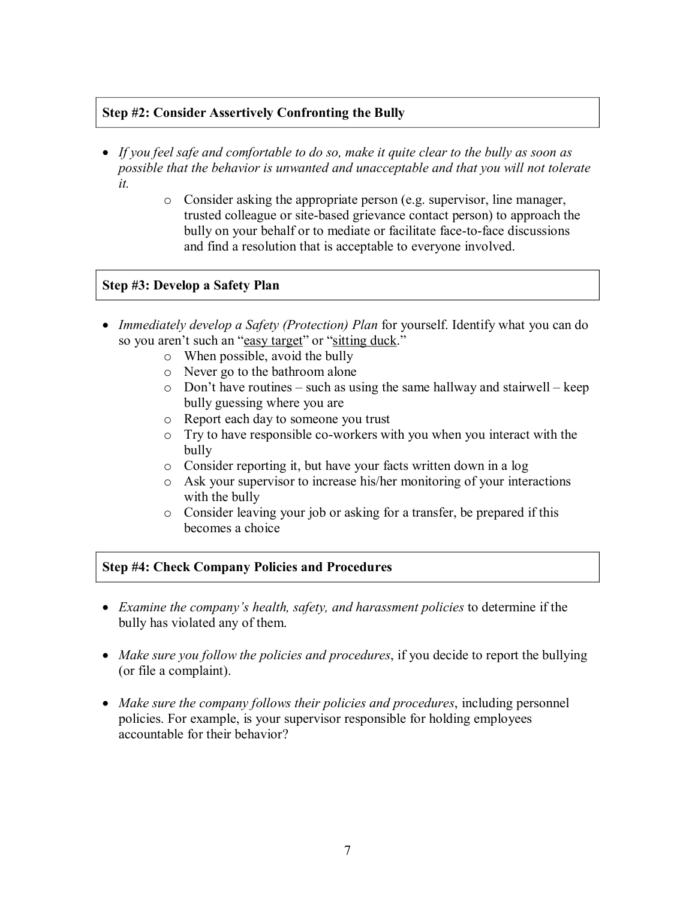# **Step #2: Consider Assertively Confronting the Bully**

- · *If you feel safe and comfortable to do so, make it quite clear to the bully as soon as possible that the behavior is unwanted and unacceptable and that you will not tolerate it.*
	- o Consider asking the appropriate person (e.g. supervisor, line manager, trusted colleague or site-based grievance contact person) to approach the bully on your behalf or to mediate or facilitate face-to-face discussions and find a resolution that is acceptable to everyone involved.

# **Step #3: Develop a Safety Plan**

- · *Immediately develop a Safety (Protection) Plan* for yourself. Identify what you can do so you aren't such an "easy target" or "sitting duck."
	- o When possible, avoid the bully
	- o Never go to the bathroom alone
	- o Don't have routines such as using the same hallway and stairwell keep bully guessing where you are
	- o Report each day to someone you trust
	- $\circ$  Try to have responsible co-workers with you when you interact with the bully
	- o Consider reporting it, but have your facts written down in a log
	- o Ask your supervisor to increase his/her monitoring of your interactions with the bully
	- o Consider leaving your job or asking for a transfer, be prepared if this becomes a choice

# **Step #4: Check Company Policies and Procedures**

- · *Examine the company's health, safety, and harassment policies* to determine if the bully has violated any of them.
- · *Make sure you follow the policies and procedures*, if you decide to report the bullying (or file a complaint).
- · *Make sure the company follows their policies and procedures*, including personnel policies. For example, is your supervisor responsible for holding employees accountable for their behavior?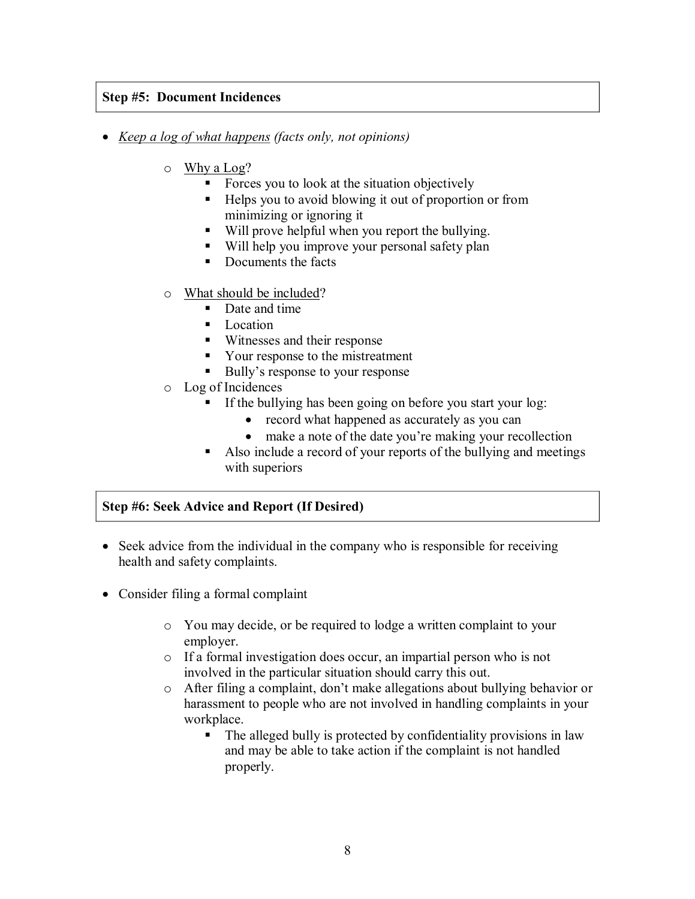# **Step #5: Document Incidences**

- · *Keep a log of what happens (facts only, not opinions)*
	- o Why a Log?
		- $\blacksquare$  Forces you to look at the situation objectively
		- Helps you to avoid blowing it out of proportion or from minimizing or ignoring it
		- $\blacksquare$  Will prove helpful when you report the bullying.
		- Will help you improve your personal safety plan
		- Documents the facts
	- o What should be included?
		- $\blacksquare$  Date and time
		- Location
		- Witnesses and their response
		- Kour response to the mistreatment
		- Bully's response to your response
	- o Log of Incidences
		- **If the bullying has been going on before you start your log:** 
			- record what happened as accurately as you can
			- make a note of the date you're making your recollection
		- Also include a record of your reports of the bullying and meetings with superiors

# **Step #6: Seek Advice and Report (If Desired)**

- Seek advice from the individual in the company who is responsible for receiving health and safety complaints.
- Consider filing a formal complaint
	- o You may decide, or be required to lodge a written complaint to your employer.
	- o If a formal investigation does occur, an impartial person who is not involved in the particular situation should carry this out.
	- o After filing a complaint, don't make allegations about bullying behavior or harassment to people who are not involved in handling complaints in your workplace.
		- $\blacksquare$  The alleged bully is protected by confidentiality provisions in law and may be able to take action if the complaint is not handled properly.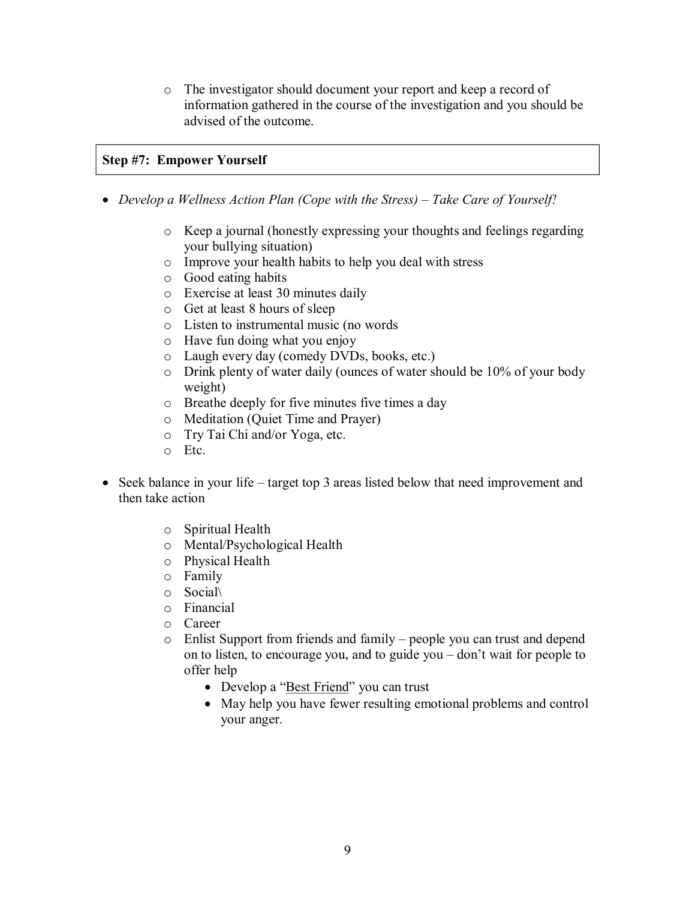o The investigator should document your report and keep a record of information gathered in the course of the investigation and you should be advised of the outcome.

### **Step #7: Empower Yourself**

- · *Develop a Wellness Action Plan (Cope with the Stress) Take Care of Yourself!*
	- o Keep a journal (honestly expressing your thoughts and feelings regarding your bullying situation)
	- o Improve your health habits to help you deal with stress
	- o Good eating habits
	- o Exercise at least 30 minutes daily
	- o Get at least 8 hours of sleep
	- o Listen to instrumental music (no words
	- o Have fun doing what you enjoy
	- o Laugh every day (comedy DVDs, books, etc.)
	- o Drink plenty of water daily (ounces of water should be 10% of your body weight)
	- o Breathe deeply for five minutes five times a day
	- o Meditation (Quiet Time and Prayer)
	- o Try Tai Chi and/or Yoga, etc.
	- o Etc.
- Seek balance in your life target top 3 areas listed below that need improvement and then take action
	- o Spiritual Health
	- o Mental/Psychological Health
	- o Physical Health
	- o Family
	- o Social\
	- o Financial
	- o Career
	- o Enlist Support from friends and family people you can trust and depend on to listen, to encourage you, and to guide you – don't wait for people to offer help
		- Develop a "Best Friend" you can trust
		- May help you have fewer resulting emotional problems and control your anger.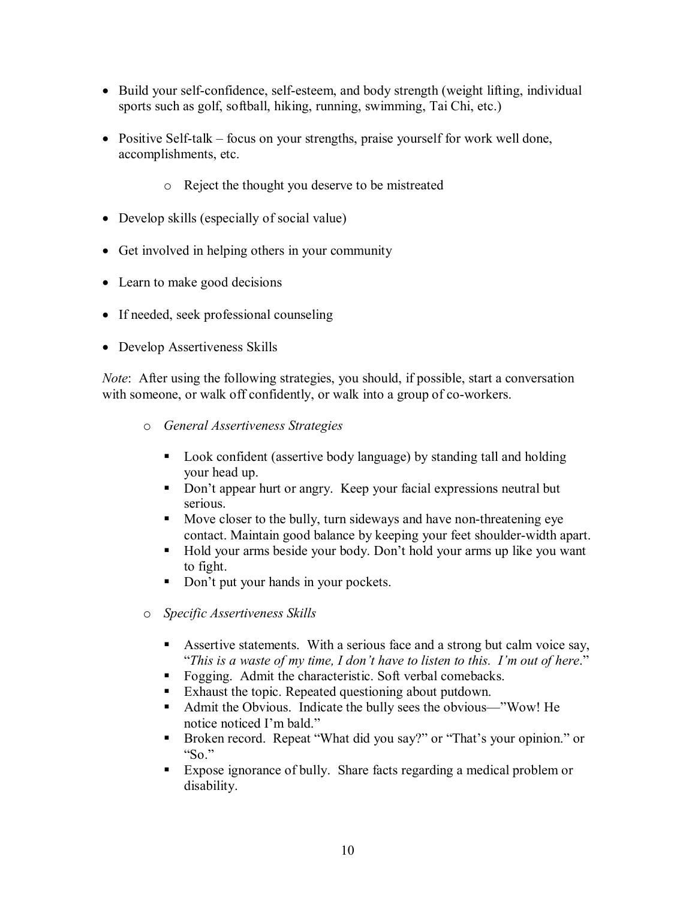- Build your self-confidence, self-esteem, and body strength (weight lifting, individual sports such as golf, softball, hiking, running, swimming, Tai Chi, etc.)
- Positive Self-talk focus on your strengths, praise yourself for work well done, accomplishments, etc.
	- o Reject the thought you deserve to be mistreated
- Develop skills (especially of social value)
- Get involved in helping others in your community
- Learn to make good decisions
- If needed, seek professional counseling
- Develop Assertiveness Skills

*Note*: After using the following strategies, you should, if possible, start a conversation with someone, or walk off confidently, or walk into a group of co-workers.

- o *General Assertiveness Strategies*
	- Look confident (assertive body language) by standing tall and holding your head up.
	- Don't appear hurt or angry. Keep your facial expressions neutral but serious.
	- $\blacksquare$  Move closer to the bully, turn sideways and have non-threatening eye contact. Maintain good balance by keeping your feet shoulder-width apart.
	- Hold your arms beside your body. Don't hold your arms up like you want to fight.
	- Don't put your hands in your pockets.
- o *Specific Assertiveness Skills*
	- ß Assertive statements. With a serious face and a strong but calm voice say, "*This is a waste of my time, I don't have to listen to this. I'm out of here*."
	- Fogging. Admit the characteristic. Soft verbal comebacks.
	- Exhaust the topic. Repeated questioning about putdown.
	- Admit the Obvious. Indicate the bully sees the obvious—"Wow! He notice noticed I'm bald."
	- Broken record. Repeat "What did you say?" or "That's your opinion." or "So."
	- Expose ignorance of bully. Share facts regarding a medical problem or disability.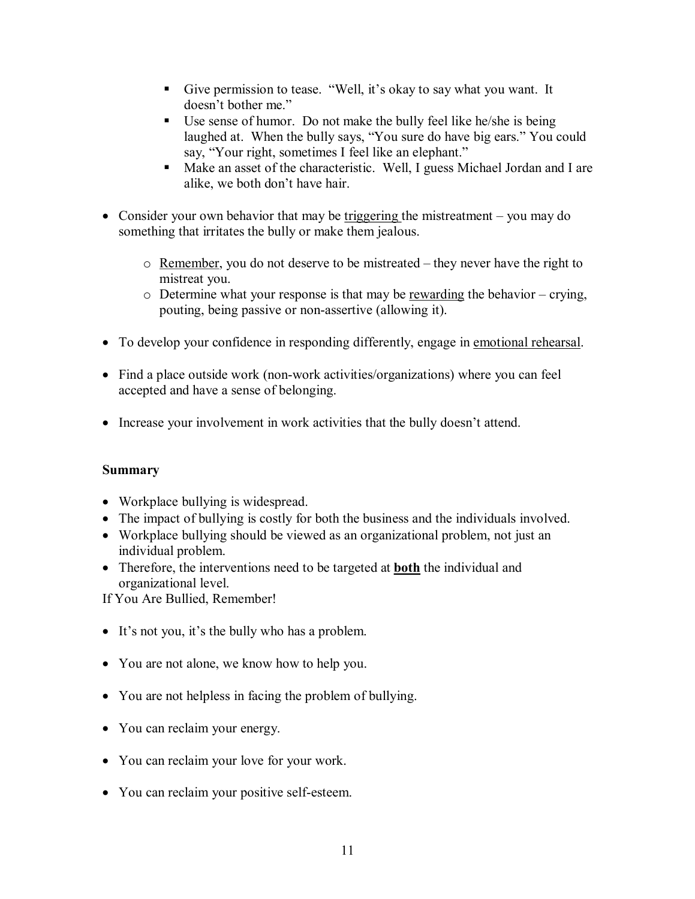- Give permission to tease. "Well, it's okay to say what you want. It doesn't bother me."
- Use sense of humor. Do not make the bully feel like he/she is being laughed at. When the bully says, "You sure do have big ears." You could say, "Your right, sometimes I feel like an elephant."
- Make an asset of the characteristic. Well, I guess Michael Jordan and I are alike, we both don't have hair.
- Consider your own behavior that may be triggering the mistreatment you may do something that irritates the bully or make them jealous.
	- $\circ$  Remember, you do not deserve to be mistreated they never have the right to mistreat you.
	- o Determine what your response is that may be rewarding the behavior crying, pouting, being passive or non-assertive (allowing it).
- · To develop your confidence in responding differently, engage in emotional rehearsal.
- Find a place outside work (non-work activities/organizations) where you can feel accepted and have a sense of belonging.
- · Increase your involvement in work activities that the bully doesn't attend.

# **Summary**

- Workplace bullying is widespread.
- The impact of bullying is costly for both the business and the individuals involved.
- Workplace bullying should be viewed as an organizational problem, not just an individual problem.
- · Therefore, the interventions need to be targeted at **both** the individual and organizational level.

If You Are Bullied, Remember!

- It's not you, it's the bully who has a problem.
- You are not alone, we know how to help you.
- · You are not helpless in facing the problem of bullying.
- You can reclaim your energy.
- You can reclaim your love for your work.
- You can reclaim your positive self-esteem.